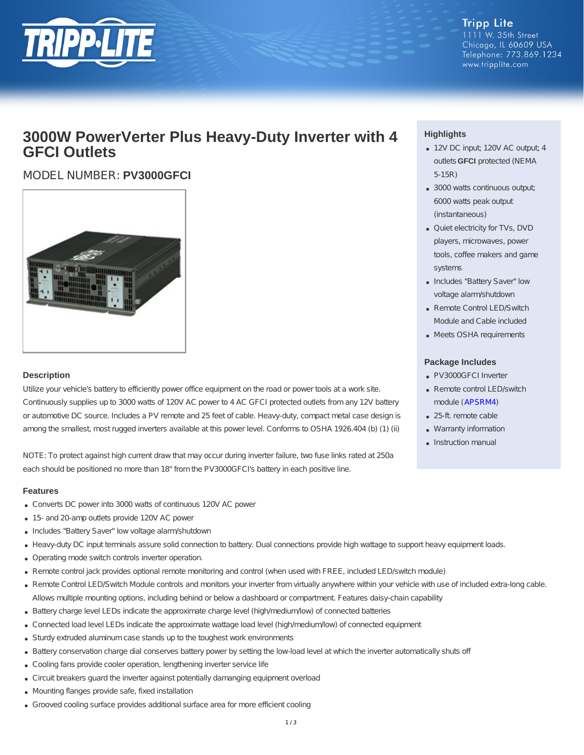

**Tripp Lite** 1111 W. 35th Street Chicago, IL 60609 USA Telephone: 773.869.1234 www.tripplite.com

# **3000W PowerVerter Plus Heavy-Duty Inverter with 4 GFCI Outlets**

## MODEL NUMBER: **PV3000GFCI**



#### **Description**

Utilize your vehicle's battery to efficiently power office equipment on the road or power tools at a work site. Continuously supplies up to 3000 watts of 120V AC power to 4 AC GFCI protected outlets from any 12V battery or automotive DC source. Includes a PV remote and 25 feet of cable. Heavy-duty, compact metal case design is among the smallest, most rugged inverters available at this power level. Conforms to OSHA 1926.404 (b) (1) (ii)

NOTE: To protect against high current draw that may occur during inverter failure, two fuse links rated at 250a each should be positioned no more than 18" from the PV3000GFCI's battery in each positive line.

#### **Features**

- Converts DC power into 3000 watts of continuous 120V AC power
- 15- and 20-amp outlets provide 120V AC power
- Includes "Battery Saver" low voltage alarm/shutdown
- Heavy-duty DC input terminals assure solid connection to battery. Dual connections provide high wattage to support heavy equipment loads.
- Operating mode switch controls inverter operation.
- Remote control jack provides optional remote monitoring and control (when used with FREE, included LED/switch module)
- Remote Control LED/Switch Module controls and monitors your inverter from virtually anywhere within your vehicle with use of included extra-long cable. Allows multiple mounting options, including behind or below a dashboard or compartment. Features daisy-chain capability
- Battery charge level LEDs indicate the approximate charge level (high/medium/low) of connected batteries
- Connected load level LEDs indicate the approximate wattage load level (high/medium/low) of connected equipment
- Sturdy extruded aluminum case stands up to the toughest work environments
- Battery conservation charge dial conserves battery power by setting the low-load level at which the inverter automatically shuts off
- Cooling fans provide cooler operation, lengthening inverter service life
- Circuit breakers guard the inverter against potentially damanging equipment overload
- Mounting flanges provide safe, fixed installation
- Grooved cooling surface provides additional surface area for more efficient cooling

### **Highlights**

- 12V DC input; 120V AC output; 4 outlets **GFCI** protected (NEMA 5-15R)
- 3000 watts continuous output; 6000 watts peak output (instantaneous)
- Quiet electricity for TVs, DVD players, microwaves, power tools, coffee makers and game systems
- Includes "Battery Saver" low voltage alarm/shutdown
- Remote Control LED/Switch Module and Cable included
- Meets OSHA requirements

#### **Package Includes**

- PV3000GFCI Inverter
- Remote control LED/switch module ([APSRM4](http://www.tripplite.com/Remote-Control-Module-Tripp-Lite-PowerVerter-Inverters-Inverter-Chargers~APSRM4))
- 25-ft. remote cable
- Warranty information
- Instruction manual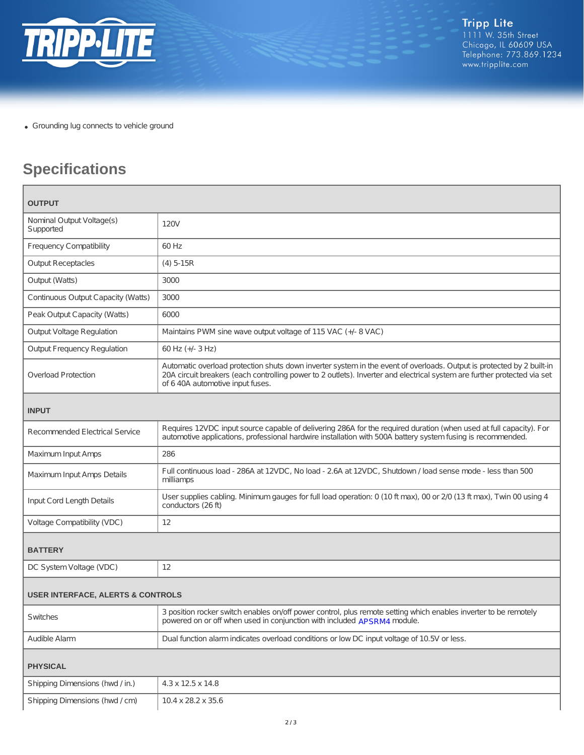

Grounding lug connects to vehicle ground

# **Specifications**

| <b>OUTPUT</b>                                |                                                                                                                                                                                                                                                                                       |
|----------------------------------------------|---------------------------------------------------------------------------------------------------------------------------------------------------------------------------------------------------------------------------------------------------------------------------------------|
| Nominal Output Voltage(s)<br>Supported       | 120V                                                                                                                                                                                                                                                                                  |
| <b>Frequency Compatibility</b>               | 60 Hz                                                                                                                                                                                                                                                                                 |
| <b>Output Receptacles</b>                    | $(4) 5-15R$                                                                                                                                                                                                                                                                           |
| Output (Watts)                               | 3000                                                                                                                                                                                                                                                                                  |
| Continuous Output Capacity (Watts)           | 3000                                                                                                                                                                                                                                                                                  |
| Peak Output Capacity (Watts)                 | 6000                                                                                                                                                                                                                                                                                  |
| <b>Output Voltage Regulation</b>             | Maintains PWM sine wave output voltage of 115 VAC (+/- 8 VAC)                                                                                                                                                                                                                         |
| <b>Output Frequency Regulation</b>           | 60 Hz (+/- 3 Hz)                                                                                                                                                                                                                                                                      |
| <b>Overload Protection</b>                   | Automatic overload protection shuts down inverter system in the event of overloads. Output is protected by 2 built-in<br>20A circuit breakers (each controlling power to 2 outlets). Inverter and electrical system are further protected via set<br>of 6 40A automotive input fuses. |
| <b>INPUT</b>                                 |                                                                                                                                                                                                                                                                                       |
| <b>Recommended Electrical Service</b>        | Requires 12VDC input source capable of delivering 286A for the required duration (when used at full capacity). For<br>automotive applications, professional hardwire installation with 500A battery system fusing is recommended.                                                     |
| Maximum Input Amps                           | 286                                                                                                                                                                                                                                                                                   |
| Maximum Input Amps Details                   | Full continuous load - 286A at 12VDC, No load - 2.6A at 12VDC, Shutdown / load sense mode - less than 500<br>milliamps                                                                                                                                                                |
| Input Cord Length Details                    | User supplies cabling. Minimum gauges for full load operation: 0 (10 ft max), 00 or 2/0 (13 ft max), Twin 00 using 4<br>conductors (26 ft)                                                                                                                                            |
| Voltage Compatibility (VDC)                  | 12                                                                                                                                                                                                                                                                                    |
| <b>BATTERY</b>                               |                                                                                                                                                                                                                                                                                       |
| DC System Voltage (VDC)                      | 12                                                                                                                                                                                                                                                                                    |
| <b>USER INTERFACE, ALERTS &amp; CONTROLS</b> |                                                                                                                                                                                                                                                                                       |
| Switches                                     | 3 position rocker switch enables on/off power control, plus remote setting which enables inverter to be remotely<br>powered on or off when used in conjunction with included APSRM4 module.                                                                                           |
| Audible Alarm                                | Dual function alarm indicates overload conditions or low DC input voltage of 10.5V or less.                                                                                                                                                                                           |
| <b>PHYSICAL</b>                              |                                                                                                                                                                                                                                                                                       |
| Shipping Dimensions (hwd / in.)              | $4.3 \times 12.5 \times 14.8$                                                                                                                                                                                                                                                         |
| Shipping Dimensions (hwd / cm)               | 10.4 x 28.2 x 35.6                                                                                                                                                                                                                                                                    |